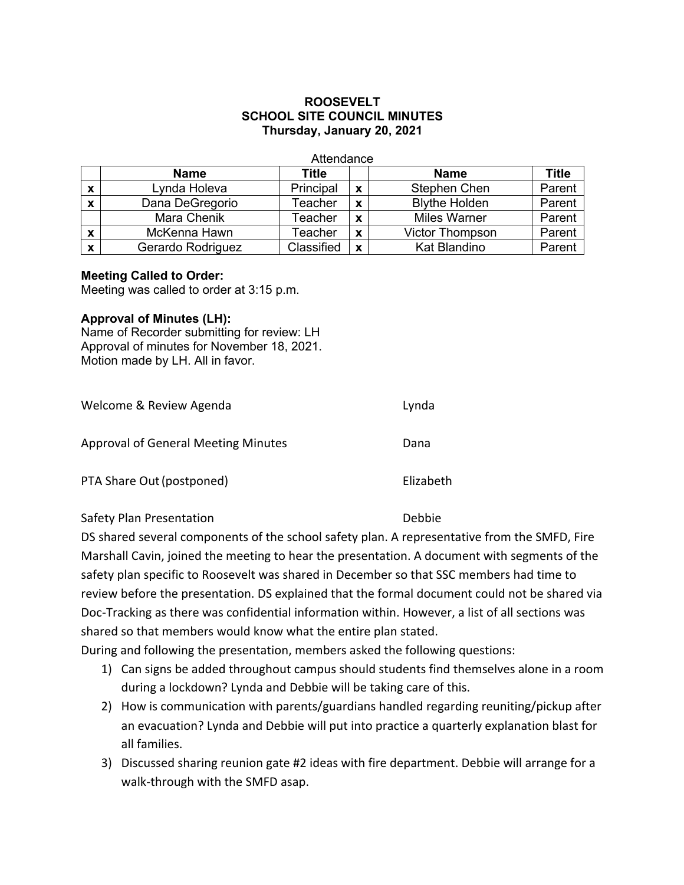# **ROOSEVELT SCHOOL SITE COUNCIL MINUTES Thursday, January 20, 2021**

| Attendance                |                   |            |   |                        |              |  |
|---------------------------|-------------------|------------|---|------------------------|--------------|--|
|                           | <b>Name</b>       | Title      |   | <b>Name</b>            | <b>Title</b> |  |
| $\boldsymbol{\mathsf{x}}$ | Lynda Holeva      | Principal  | X | Stephen Chen           | Parent       |  |
| $\boldsymbol{\mathsf{x}}$ | Dana DeGregorio   | Teacher    | X | <b>Blythe Holden</b>   | Parent       |  |
|                           | Mara Chenik       | Teacher    | X | <b>Miles Warner</b>    | Parent       |  |
| $\boldsymbol{\mathsf{x}}$ | McKenna Hawn      | Teacher    | X | <b>Victor Thompson</b> | Parent       |  |
| $\boldsymbol{\mathsf{x}}$ | Gerardo Rodriguez | Classified | X | Kat Blandino           | Parent       |  |

### **Meeting Called to Order:**

Meeting was called to order at 3:15 p.m.

### **Approval of Minutes (LH):**

Name of Recorder submitting for review: LH Approval of minutes for November 18, 2021. Motion made by LH. All in favor.

| Welcome & Review Agenda                    | Lynda     |
|--------------------------------------------|-----------|
| <b>Approval of General Meeting Minutes</b> | Dana      |
| PTA Share Out (postponed)                  | Elizabeth |

### Safety Plan Presentation **Debbie**

DS shared several components of the school safety plan. A representative from the SMFD, Fire Marshall Cavin, joined the meeting to hear the presentation. A document with segments of the safety plan specific to Roosevelt was shared in December so that SSC members had time to review before the presentation. DS explained that the formal document could not be shared via Doc-Tracking as there was confidential information within. However, a list of all sections was shared so that members would know what the entire plan stated.

During and following the presentation, members asked the following questions:

- 1) Can signs be added throughout campus should students find themselves alone in a room during a lockdown? Lynda and Debbie will be taking care of this.
- 2) How is communication with parents/guardians handled regarding reuniting/pickup after an evacuation? Lynda and Debbie will put into practice a quarterly explanation blast for all families.
- 3) Discussed sharing reunion gate #2 ideas with fire department. Debbie will arrange for a walk-through with the SMFD asap.